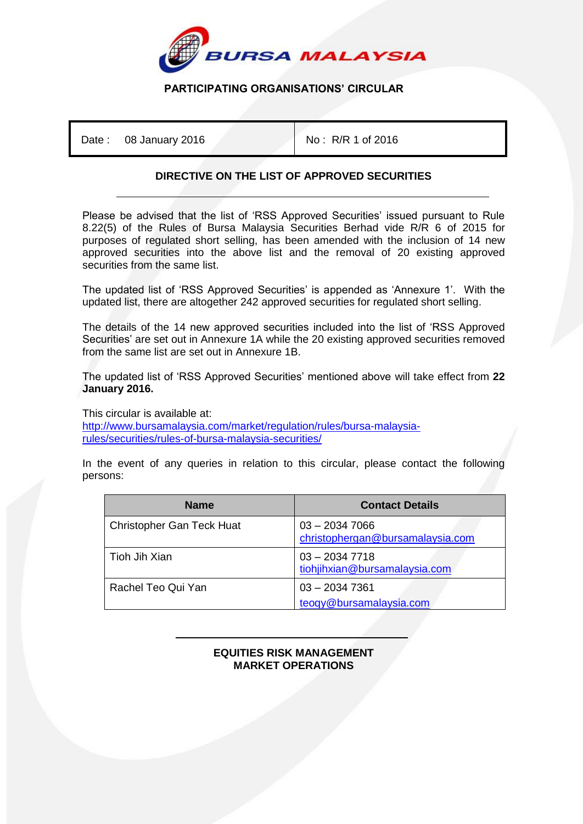

## **PARTICIPATING ORGANISATIONS' CIRCULAR**

Date : 08 January 2016 **No : R/R 1 of 2016** 

## **DIRECTIVE ON THE LIST OF APPROVED SECURITIES**

Please be advised that the list of 'RSS Approved Securities' issued pursuant to Rule 8.22(5) of the Rules of Bursa Malaysia Securities Berhad vide R/R 6 of 2015 for purposes of regulated short selling, has been amended with the inclusion of 14 new approved securities into the above list and the removal of 20 existing approved securities from the same list.

The updated list of 'RSS Approved Securities' is appended as 'Annexure 1'. With the updated list, there are altogether 242 approved securities for regulated short selling.

The details of the 14 new approved securities included into the list of 'RSS Approved Securities' are set out in Annexure 1A while the 20 existing approved securities removed from the same list are set out in Annexure 1B.

The updated list of 'RSS Approved Securities' mentioned above will take effect from **22 January 2016.**

This circular is available at:

[http://www.bursamalaysia.com/market/regulation/rules/bursa-malaysia](http://www.bursamalaysia.com/market/regulation/rules/bursa-malaysia-rules/securities/rules-of-bursa-malaysia-securities/)[rules/securities/rules-of-bursa-malaysia-securities/](http://www.bursamalaysia.com/market/regulation/rules/bursa-malaysia-rules/securities/rules-of-bursa-malaysia-securities/)

In the event of any queries in relation to this circular, please contact the following persons:

| <b>Name</b>                      | <b>Contact Details</b>                              |
|----------------------------------|-----------------------------------------------------|
| <b>Christopher Gan Teck Huat</b> | $03 - 20347066$<br>christophergan@bursamalaysia.com |
| Tioh Jih Xian                    | $03 - 20347718$<br>tiohjihxian@bursamalaysia.com    |
| Rachel Teo Qui Yan               | $03 - 20347361$<br>teoqy@bursamalaysia.com          |

## İ **EQUITIES RISK MANAGEMENT MARKET OPERATIONS**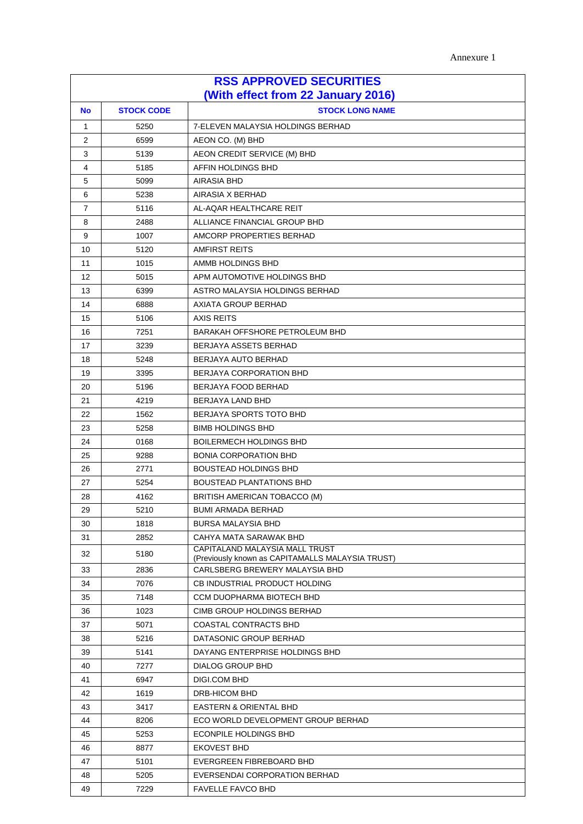Annexure 1

| <b>RSS APPROVED SECURITIES</b><br>(With effect from 22 January 2016) |                                             |                                                                                    |  |  |
|----------------------------------------------------------------------|---------------------------------------------|------------------------------------------------------------------------------------|--|--|
| <b>No</b>                                                            | <b>STOCK CODE</b><br><b>STOCK LONG NAME</b> |                                                                                    |  |  |
| $\mathbf{1}$                                                         | 5250                                        | 7-ELEVEN MALAYSIA HOLDINGS BERHAD                                                  |  |  |
| 2                                                                    | 6599                                        | AEON CO. (M) BHD                                                                   |  |  |
| 3                                                                    | 5139                                        | AEON CREDIT SERVICE (M) BHD                                                        |  |  |
| 4                                                                    | 5185                                        | AFFIN HOLDINGS BHD                                                                 |  |  |
| 5                                                                    | 5099                                        | AIRASIA BHD                                                                        |  |  |
| 6                                                                    | 5238                                        | AIRASIA X BERHAD                                                                   |  |  |
| $\overline{7}$                                                       | 5116                                        | AL-AQAR HEALTHCARE REIT                                                            |  |  |
| 8                                                                    | 2488                                        | ALLIANCE FINANCIAL GROUP BHD                                                       |  |  |
| 9                                                                    | 1007                                        | AMCORP PROPERTIES BERHAD                                                           |  |  |
| 10                                                                   | 5120                                        | <b>AMFIRST REITS</b>                                                               |  |  |
| 11                                                                   | 1015                                        | AMMB HOLDINGS BHD                                                                  |  |  |
| 12                                                                   | 5015                                        | APM AUTOMOTIVE HOLDINGS BHD                                                        |  |  |
| 13                                                                   | 6399                                        | ASTRO MALAYSIA HOLDINGS BERHAD                                                     |  |  |
| 14                                                                   | 6888                                        | AXIATA GROUP BERHAD                                                                |  |  |
| 15                                                                   | 5106                                        | <b>AXIS REITS</b>                                                                  |  |  |
| 16                                                                   | 7251                                        | BARAKAH OFFSHORE PETROLEUM BHD                                                     |  |  |
| 17                                                                   | 3239                                        | BERJAYA ASSETS BERHAD                                                              |  |  |
| 18                                                                   | 5248                                        | <b>BERJAYA AUTO BERHAD</b>                                                         |  |  |
| 19                                                                   | 3395                                        | BERJAYA CORPORATION BHD                                                            |  |  |
| 20                                                                   | 5196                                        | <b>BERJAYA FOOD BERHAD</b>                                                         |  |  |
| 21                                                                   | 4219                                        | BERJAYA LAND BHD                                                                   |  |  |
| 22                                                                   | 1562                                        | BERJAYA SPORTS TOTO BHD                                                            |  |  |
| 23                                                                   | 5258                                        | <b>BIMB HOLDINGS BHD</b>                                                           |  |  |
| 24                                                                   | 0168                                        | <b>BOILERMECH HOLDINGS BHD</b>                                                     |  |  |
| 25                                                                   | 9288                                        | <b>BONIA CORPORATION BHD</b>                                                       |  |  |
| 26                                                                   | 2771                                        | <b>BOUSTEAD HOLDINGS BHD</b>                                                       |  |  |
| 27                                                                   | 5254                                        | <b>BOUSTEAD PLANTATIONS BHD</b>                                                    |  |  |
| 28                                                                   | 4162                                        | BRITISH AMERICAN TOBACCO (M)                                                       |  |  |
| 29                                                                   | 5210                                        | <b>BUMI ARMADA BERHAD</b>                                                          |  |  |
| 30                                                                   | 1818                                        | <b>BURSA MALAYSIA BHD</b>                                                          |  |  |
| 31                                                                   | 2852                                        | CAHYA MATA SARAWAK BHD                                                             |  |  |
| 32                                                                   | 5180                                        | CAPITALAND MALAYSIA MALL TRUST<br>(Previously known as CAPITAMALLS MALAYSIA TRUST) |  |  |
| 33                                                                   | 2836                                        | CARLSBERG BREWERY MALAYSIA BHD                                                     |  |  |
| 34                                                                   | 7076                                        | CB INDUSTRIAL PRODUCT HOLDING                                                      |  |  |
| 35                                                                   | 7148                                        | CCM DUOPHARMA BIOTECH BHD                                                          |  |  |
| 36                                                                   | 1023                                        | CIMB GROUP HOLDINGS BERHAD                                                         |  |  |
| 37                                                                   | 5071                                        | <b>COASTAL CONTRACTS BHD</b>                                                       |  |  |
| 38                                                                   | 5216                                        | DATASONIC GROUP BERHAD                                                             |  |  |
| 39                                                                   | 5141                                        | DAYANG ENTERPRISE HOLDINGS BHD                                                     |  |  |
| 40                                                                   | 7277                                        | DIALOG GROUP BHD                                                                   |  |  |
| 41                                                                   | 6947                                        | DIGI.COM BHD                                                                       |  |  |
| 42                                                                   | 1619                                        | DRB-HICOM BHD                                                                      |  |  |
| 43                                                                   | 3417                                        | EASTERN & ORIENTAL BHD                                                             |  |  |
| 44                                                                   | 8206                                        | ECO WORLD DEVELOPMENT GROUP BERHAD                                                 |  |  |
| 45                                                                   | 5253                                        | ECONPILE HOLDINGS BHD                                                              |  |  |
| 46                                                                   | 8877                                        | <b>EKOVEST BHD</b>                                                                 |  |  |
| 47                                                                   | 5101                                        | EVERGREEN FIBREBOARD BHD                                                           |  |  |
| 48                                                                   | 5205                                        | EVERSENDAI CORPORATION BERHAD                                                      |  |  |
| 49                                                                   | 7229                                        | <b>FAVELLE FAVCO BHD</b>                                                           |  |  |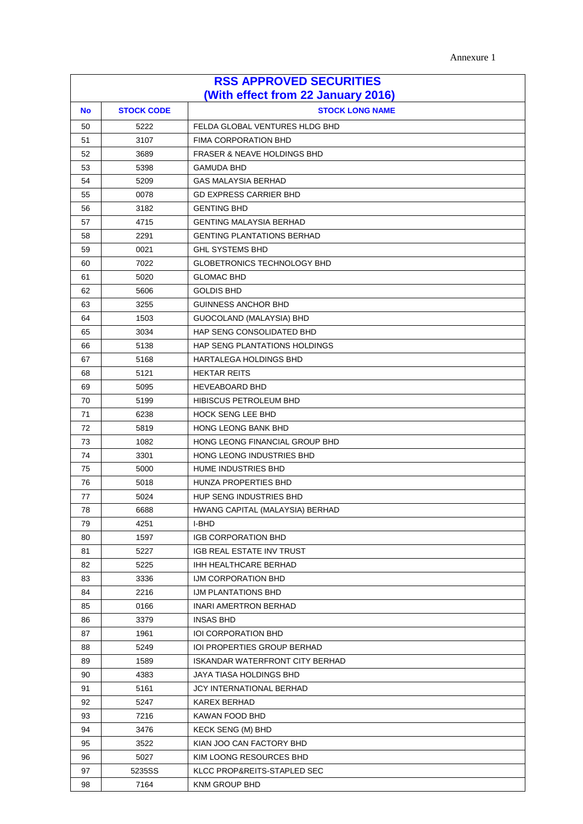Annexure 1

| <b>RSS APPROVED SECURITIES</b><br>(With effect from 22 January 2016) |                                             |                                        |  |  |
|----------------------------------------------------------------------|---------------------------------------------|----------------------------------------|--|--|
| <b>No</b>                                                            | <b>STOCK CODE</b><br><b>STOCK LONG NAME</b> |                                        |  |  |
| 50                                                                   | 5222                                        | FELDA GLOBAL VENTURES HLDG BHD         |  |  |
| 51                                                                   | 3107                                        | FIMA CORPORATION BHD                   |  |  |
| 52                                                                   | 3689                                        | <b>FRASER &amp; NEAVE HOLDINGS BHD</b> |  |  |
| 53                                                                   | 5398                                        | <b>GAMUDA BHD</b>                      |  |  |
| 54                                                                   | 5209                                        | <b>GAS MALAYSIA BERHAD</b>             |  |  |
| 55                                                                   | 0078                                        | <b>GD EXPRESS CARRIER BHD</b>          |  |  |
| 56                                                                   | 3182                                        | <b>GENTING BHD</b>                     |  |  |
| 57                                                                   | 4715                                        | <b>GENTING MALAYSIA BERHAD</b>         |  |  |
| 58                                                                   | 2291                                        | <b>GENTING PLANTATIONS BERHAD</b>      |  |  |
| 59                                                                   | 0021                                        | <b>GHL SYSTEMS BHD</b>                 |  |  |
| 60                                                                   | 7022                                        | <b>GLOBETRONICS TECHNOLOGY BHD</b>     |  |  |
| 61                                                                   | 5020                                        | <b>GLOMAC BHD</b>                      |  |  |
| 62                                                                   | 5606                                        | <b>GOLDIS BHD</b>                      |  |  |
| 63                                                                   | 3255                                        | <b>GUINNESS ANCHOR BHD</b>             |  |  |
| 64                                                                   | 1503                                        | GUOCOLAND (MALAYSIA) BHD               |  |  |
| 65                                                                   | 3034                                        | HAP SENG CONSOLIDATED BHD              |  |  |
| 66                                                                   | 5138                                        | HAP SENG PLANTATIONS HOLDINGS          |  |  |
| 67                                                                   | 5168                                        | HARTALEGA HOLDINGS BHD                 |  |  |
| 68                                                                   | 5121                                        | <b>HEKTAR REITS</b>                    |  |  |
| 69                                                                   | 5095                                        | <b>HEVEABOARD BHD</b>                  |  |  |
| 70                                                                   | 5199                                        | <b>HIBISCUS PETROLEUM BHD</b>          |  |  |
| 71                                                                   | 6238                                        | <b>HOCK SENG LEE BHD</b>               |  |  |
| 72                                                                   | 5819                                        | <b>HONG LEONG BANK BHD</b>             |  |  |
| 73                                                                   | 1082                                        | HONG LEONG FINANCIAL GROUP BHD         |  |  |
| 74                                                                   | 3301                                        | HONG LEONG INDUSTRIES BHD              |  |  |
| 75                                                                   | 5000                                        | <b>HUME INDUSTRIES BHD</b>             |  |  |
| 76                                                                   | 5018                                        | HUNZA PROPERTIES BHD                   |  |  |
| 77                                                                   | 5024                                        | <b>HUP SENG INDUSTRIES BHD</b>         |  |  |
| 78                                                                   | 6688                                        | HWANG CAPITAL (MALAYSIA) BERHAD        |  |  |
| 79                                                                   | 4251                                        | I-BHD                                  |  |  |
| 80                                                                   | 1597                                        | <b>IGB CORPORATION BHD</b>             |  |  |
| 81                                                                   | 5227                                        | IGB REAL ESTATE INV TRUST              |  |  |
| 82                                                                   | 5225                                        | IHH HEALTHCARE BERHAD                  |  |  |
| 83                                                                   | 3336                                        | IJM CORPORATION BHD                    |  |  |
| 84                                                                   | 2216                                        | IJM PLANTATIONS BHD                    |  |  |
| 85                                                                   | 0166                                        | INARI AMERTRON BERHAD                  |  |  |
| 86                                                                   | 3379                                        | <b>INSAS BHD</b>                       |  |  |
| 87                                                                   | 1961                                        | <b>IOI CORPORATION BHD</b>             |  |  |
| 88                                                                   | 5249                                        | <b>IOI PROPERTIES GROUP BERHAD</b>     |  |  |
| 89                                                                   | 1589                                        | <b>ISKANDAR WATERFRONT CITY BERHAD</b> |  |  |
| 90                                                                   | 4383                                        | JAYA TIASA HOLDINGS BHD                |  |  |
| 91                                                                   | 5161                                        | JCY INTERNATIONAL BERHAD               |  |  |
| 92                                                                   | 5247                                        | <b>KAREX BERHAD</b>                    |  |  |
| 93                                                                   | 7216                                        | KAWAN FOOD BHD                         |  |  |
| 94                                                                   | 3476                                        | KECK SENG (M) BHD                      |  |  |
| 95                                                                   | 3522                                        | KIAN JOO CAN FACTORY BHD               |  |  |
| 96                                                                   | 5027                                        | KIM LOONG RESOURCES BHD                |  |  |
| 97                                                                   | 5235SS                                      | KLCC PROP&REITS-STAPLED SEC            |  |  |
| 98                                                                   | 7164                                        | <b>KNM GROUP BHD</b>                   |  |  |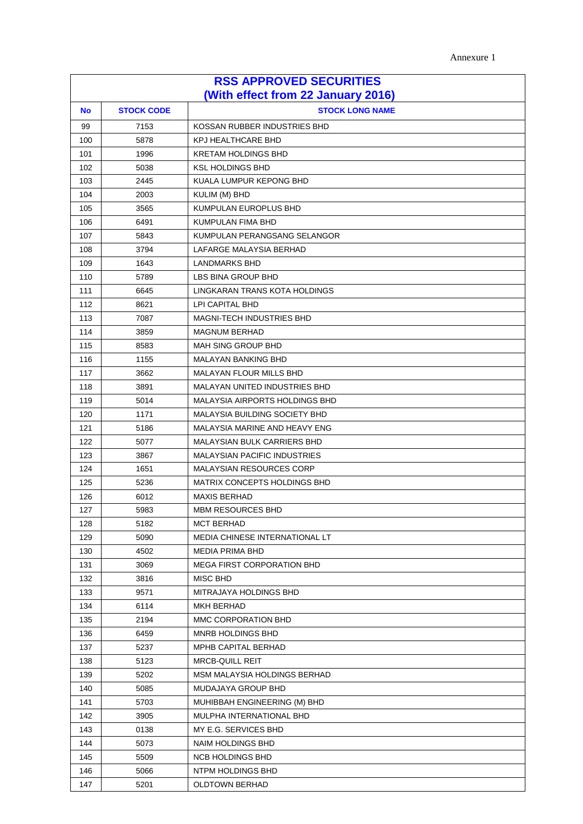| Annexure 1 |
|------------|
|------------|

| <b>RSS APPROVED SECURITIES</b>     |                   |                                      |
|------------------------------------|-------------------|--------------------------------------|
| (With effect from 22 January 2016) |                   |                                      |
| <b>No</b>                          | <b>STOCK CODE</b> | <b>STOCK LONG NAME</b>               |
| 99                                 | 7153              | KOSSAN RUBBER INDUSTRIES BHD         |
| 100                                | 5878              | <b>KPJ HEALTHCARE BHD</b>            |
| 101                                | 1996              | <b>KRETAM HOLDINGS BHD</b>           |
| 102                                | 5038              | <b>KSL HOLDINGS BHD</b>              |
| 103                                | 2445              | KUALA LUMPUR KEPONG BHD              |
| 104                                | 2003              | KULIM (M) BHD                        |
| 105                                | 3565              | KUMPULAN EUROPLUS BHD                |
| 106                                | 6491              | KUMPULAN FIMA BHD                    |
| 107                                | 5843              | KUMPULAN PERANGSANG SELANGOR         |
| 108                                | 3794              | LAFARGE MALAYSIA BERHAD              |
| 109                                | 1643              | <b>LANDMARKS BHD</b>                 |
| 110                                | 5789              | LBS BINA GROUP BHD                   |
| 111                                | 6645              | LINGKARAN TRANS KOTA HOLDINGS        |
| 112                                | 8621              | LPI CAPITAL BHD                      |
| 113                                | 7087              | <b>MAGNI-TECH INDUSTRIES BHD</b>     |
| 114                                | 3859              | <b>MAGNUM BERHAD</b>                 |
| 115                                | 8583              | <b>MAH SING GROUP BHD</b>            |
| 116                                | 1155              | <b>MALAYAN BANKING BHD</b>           |
| 117                                | 3662              | <b>MALAYAN FLOUR MILLS BHD</b>       |
| 118                                | 3891              | <b>MALAYAN UNITED INDUSTRIES BHD</b> |
| 119                                | 5014              | MALAYSIA AIRPORTS HOLDINGS BHD       |
| 120                                | 1171              | <b>MALAYSIA BUILDING SOCIETY BHD</b> |
| 121                                | 5186              | MALAYSIA MARINE AND HEAVY ENG        |
| 122                                | 5077              | <b>MALAYSIAN BULK CARRIERS BHD</b>   |
| 123                                | 3867              | <b>MALAYSIAN PACIFIC INDUSTRIES</b>  |
| 124                                | 1651              | <b>MALAYSIAN RESOURCES CORP</b>      |
| 125                                | 5236              | MATRIX CONCEPTS HOLDINGS BHD         |
| 126                                | 6012              | <b>MAXIS BERHAD</b>                  |
| 127                                | 5983              | <b>MBM RESOURCES BHD</b>             |
| 128                                | 5182              | <b>MCT BERHAD</b>                    |
| 129                                | 5090              | MEDIA CHINESE INTERNATIONAL LT       |
| 130                                | 4502              | <b>MEDIA PRIMA BHD</b>               |
| 131                                | 3069              | <b>MEGA FIRST CORPORATION BHD</b>    |
| 132                                | 3816              | MISC BHD                             |
| 133                                | 9571              | MITRAJAYA HOLDINGS BHD               |
| 134                                | 6114              | MKH BERHAD                           |
| 135                                | 2194              | MMC CORPORATION BHD                  |
| 136                                | 6459              | MNRB HOLDINGS BHD                    |
| 137                                | 5237              | MPHB CAPITAL BERHAD                  |
| 138                                | 5123              | <b>MRCB-QUILL REIT</b>               |
| 139                                | 5202              | MSM MALAYSIA HOLDINGS BERHAD         |
| 140                                | 5085              | MUDAJAYA GROUP BHD                   |
| 141                                | 5703              | MUHIBBAH ENGINEERING (M) BHD         |
| 142                                | 3905              | MULPHA INTERNATIONAL BHD             |
| 143                                | 0138              | MY E.G. SERVICES BHD                 |
| 144                                | 5073              | NAIM HOLDINGS BHD                    |
| 145                                | 5509              | NCB HOLDINGS BHD                     |
| 146                                | 5066              | NTPM HOLDINGS BHD                    |
| 147                                | 5201              | OLDTOWN BERHAD                       |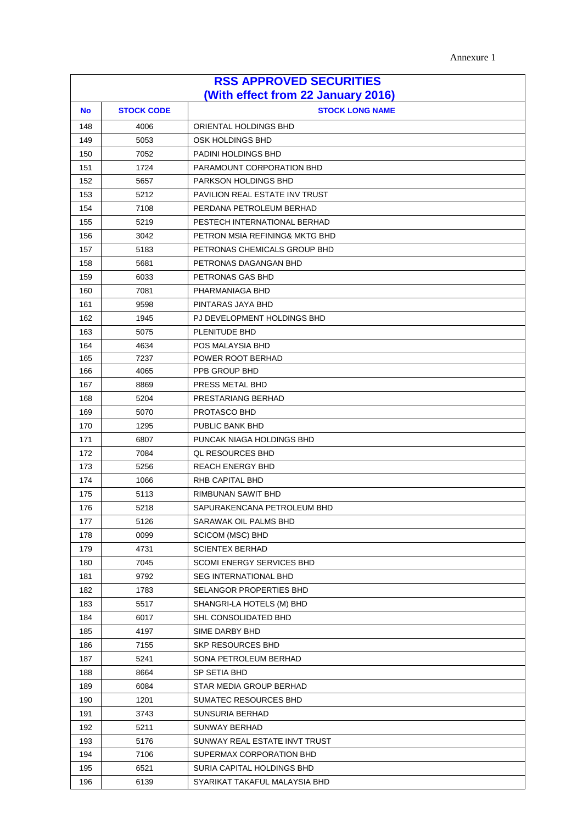| Annexure 1 |
|------------|
|------------|

| <b>RSS APPROVED SECURITIES</b><br>(With effect from 22 January 2016) |      |                                  |  |
|----------------------------------------------------------------------|------|----------------------------------|--|
| <b>STOCK CODE</b><br><b>STOCK LONG NAME</b><br><b>No</b>             |      |                                  |  |
| 148                                                                  | 4006 | ORIENTAL HOLDINGS BHD            |  |
| 149                                                                  | 5053 | OSK HOLDINGS BHD                 |  |
| 150                                                                  | 7052 | PADINI HOLDINGS BHD              |  |
| 151                                                                  | 1724 | PARAMOUNT CORPORATION BHD        |  |
| 152                                                                  | 5657 | <b>PARKSON HOLDINGS BHD</b>      |  |
| 153                                                                  | 5212 | PAVILION REAL ESTATE INV TRUST   |  |
| 154                                                                  | 7108 | PERDANA PETROLEUM BERHAD         |  |
| 155                                                                  | 5219 | PESTECH INTERNATIONAL BERHAD     |  |
| 156                                                                  | 3042 | PETRON MSIA REFINING& MKTG BHD   |  |
| 157                                                                  | 5183 | PETRONAS CHEMICALS GROUP BHD     |  |
| 158                                                                  | 5681 | PETRONAS DAGANGAN BHD            |  |
| 159                                                                  | 6033 | PETRONAS GAS BHD                 |  |
| 160                                                                  | 7081 | PHARMANIAGA BHD                  |  |
| 161                                                                  | 9598 | PINTARAS JAYA BHD                |  |
| 162                                                                  | 1945 | PJ DEVELOPMENT HOLDINGS BHD      |  |
| 163                                                                  | 5075 | PLENITUDE BHD                    |  |
| 164                                                                  | 4634 | POS MALAYSIA BHD                 |  |
| 165                                                                  | 7237 | POWER ROOT BERHAD                |  |
| 166                                                                  | 4065 | PPB GROUP BHD                    |  |
| 167                                                                  | 8869 | PRESS METAL BHD                  |  |
| 168                                                                  | 5204 | PRESTARIANG BERHAD               |  |
| 169                                                                  | 5070 | PROTASCO BHD                     |  |
| 170                                                                  | 1295 | PUBLIC BANK BHD                  |  |
| 171                                                                  | 6807 | PUNCAK NIAGA HOLDINGS BHD        |  |
| 172                                                                  | 7084 | <b>QL RESOURCES BHD</b>          |  |
| 173                                                                  | 5256 | <b>REACH ENERGY BHD</b>          |  |
| 174                                                                  | 1066 | RHB CAPITAL BHD                  |  |
| 175                                                                  | 5113 | RIMBUNAN SAWIT BHD               |  |
| 176                                                                  | 5218 | SAPURAKENCANA PETROLEUM BHD      |  |
| 177                                                                  | 5126 | SARAWAK OIL PALMS BHD            |  |
| 178                                                                  | 0099 | SCICOM (MSC) BHD                 |  |
| 179                                                                  | 4731 | <b>SCIENTEX BERHAD</b>           |  |
| 180                                                                  | 7045 | <b>SCOMI ENERGY SERVICES BHD</b> |  |
| 181                                                                  | 9792 | <b>SEG INTERNATIONAL BHD</b>     |  |
| 182                                                                  | 1783 | SELANGOR PROPERTIES BHD          |  |
| 183                                                                  | 5517 | SHANGRI-LA HOTELS (M) BHD        |  |
| 184                                                                  | 6017 | SHL CONSOLIDATED BHD             |  |
| 185                                                                  | 4197 | SIME DARBY BHD                   |  |
| 186                                                                  | 7155 | <b>SKP RESOURCES BHD</b>         |  |
| 187                                                                  | 5241 | SONA PETROLEUM BERHAD            |  |
| 188                                                                  | 8664 | SP SETIA BHD                     |  |
| 189                                                                  | 6084 | STAR MEDIA GROUP BERHAD          |  |
| 190                                                                  | 1201 | SUMATEC RESOURCES BHD            |  |
| 191                                                                  | 3743 | <b>SUNSURIA BERHAD</b>           |  |
| 192                                                                  | 5211 | <b>SUNWAY BERHAD</b>             |  |
| 193                                                                  | 5176 | SUNWAY REAL ESTATE INVT TRUST    |  |
| 194                                                                  | 7106 | SUPERMAX CORPORATION BHD         |  |
| 195                                                                  | 6521 | SURIA CAPITAL HOLDINGS BHD       |  |
| 196                                                                  | 6139 | SYARIKAT TAKAFUL MALAYSIA BHD    |  |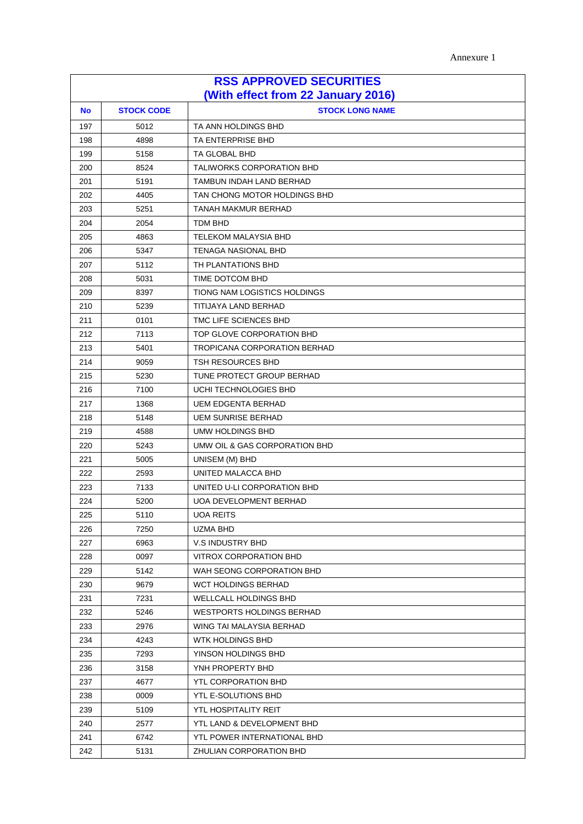| <b>RSS APPROVED SECURITIES</b>     |                   |                                     |
|------------------------------------|-------------------|-------------------------------------|
| (With effect from 22 January 2016) |                   |                                     |
| <b>No</b>                          | <b>STOCK CODE</b> | <b>STOCK LONG NAME</b>              |
| 197                                | 5012              | TA ANN HOLDINGS BHD                 |
| 198                                | 4898              | TA ENTERPRISE BHD                   |
| 199                                | 5158              | TA GLOBAL BHD                       |
| 200                                | 8524              | <b>TALIWORKS CORPORATION BHD</b>    |
| 201                                | 5191              | TAMBUN INDAH LAND BERHAD            |
| 202                                | 4405              | TAN CHONG MOTOR HOLDINGS BHD        |
| 203                                | 5251              | TANAH MAKMUR BERHAD                 |
| 204                                | 2054              | TDM BHD                             |
| 205                                | 4863              | <b>TELEKOM MALAYSIA BHD</b>         |
| 206                                | 5347              | <b>TENAGA NASIONAL BHD</b>          |
| 207                                | 5112              | TH PLANTATIONS BHD                  |
| 208                                | 5031              | TIME DOTCOM BHD                     |
| 209                                | 8397              | TIONG NAM LOGISTICS HOLDINGS        |
| 210                                | 5239              | TITIJAYA LAND BERHAD                |
| 211                                | 0101              | TMC LIFE SCIENCES BHD               |
| 212                                | 7113              | TOP GLOVE CORPORATION BHD           |
| 213                                | 5401              | <b>TROPICANA CORPORATION BERHAD</b> |
| 214                                | 9059              | TSH RESOURCES BHD                   |
| 215                                | 5230              | TUNE PROTECT GROUP BERHAD           |
| 216                                | 7100              | UCHI TECHNOLOGIES BHD               |
| 217                                | 1368              | <b>UEM EDGENTA BERHAD</b>           |
| 218                                | 5148              | <b>UEM SUNRISE BERHAD</b>           |
| 219                                | 4588              | UMW HOLDINGS BHD                    |
| 220                                | 5243              | UMW OIL & GAS CORPORATION BHD       |
| 221                                | 5005              | UNISEM (M) BHD                      |
| 222                                | 2593              | UNITED MALACCA BHD                  |
| 223                                | 7133              | UNITED U-LI CORPORATION BHD         |
| 224                                | 5200              | UOA DEVELOPMENT BERHAD              |
| 225                                | 5110              | <b>UOA REITS</b>                    |
| 226                                | 7250              | UZMA BHD                            |
| 227                                | 6963              | V.S INDUSTRY BHD                    |
| 228                                | 0097              | VITROX CORPORATION BHD              |
| 229                                | 5142              | WAH SEONG CORPORATION BHD           |
| 230                                | 9679              | <b>WCT HOLDINGS BERHAD</b>          |
| 231                                | 7231              | WELLCALL HOLDINGS BHD               |
| 232                                | 5246              | <b>WESTPORTS HOLDINGS BERHAD</b>    |
| 233                                | 2976              | WING TAI MALAYSIA BERHAD            |
| 234                                | 4243              | WTK HOLDINGS BHD                    |
| 235                                | 7293              | YINSON HOLDINGS BHD                 |
| 236                                | 3158              | YNH PROPERTY BHD                    |
| 237                                | 4677              | YTL CORPORATION BHD                 |
| 238                                | 0009              | YTL E-SOLUTIONS BHD                 |
| 239                                | 5109              | YTL HOSPITALITY REIT                |
| 240                                | 2577              | YTL LAND & DEVELOPMENT BHD          |
| 241                                | 6742              | YTL POWER INTERNATIONAL BHD         |
| 242                                | 5131              | ZHULIAN CORPORATION BHD             |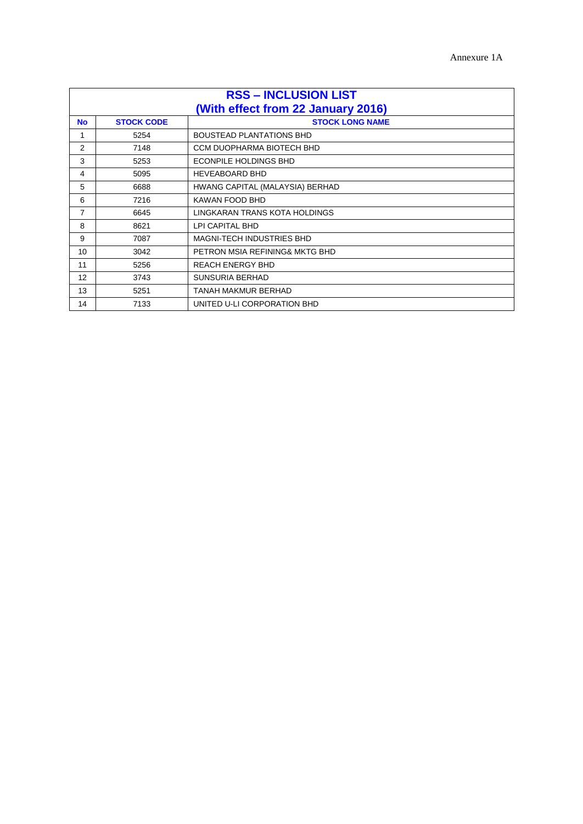| <b>RSS - INCLUSION LIST</b> |                                                                                   |                                  |  |
|-----------------------------|-----------------------------------------------------------------------------------|----------------------------------|--|
| <b>No</b>                   | (With effect from 22 January 2016)<br><b>STOCK CODE</b><br><b>STOCK LONG NAME</b> |                                  |  |
| 1                           | 5254                                                                              | <b>BOUSTEAD PLANTATIONS BHD</b>  |  |
| 2                           | 7148                                                                              | CCM DUOPHARMA BIOTECH BHD        |  |
| 3                           | 5253                                                                              | <b>ECONPILE HOLDINGS BHD</b>     |  |
| 4                           | 5095                                                                              | <b>HEVEABOARD BHD</b>            |  |
| 5                           | 6688                                                                              | HWANG CAPITAL (MALAYSIA) BERHAD  |  |
| 6                           | 7216                                                                              | KAWAN FOOD BHD                   |  |
| 7                           | 6645                                                                              | LINGKARAN TRANS KOTA HOLDINGS    |  |
| 8                           | 8621                                                                              | LPI CAPITAL BHD                  |  |
| 9                           | 7087                                                                              | <b>MAGNI-TECH INDUSTRIES BHD</b> |  |
| 10                          | 3042                                                                              | PETRON MSIA REFINING& MKTG BHD   |  |
| 11                          | 5256                                                                              | <b>REACH ENERGY BHD</b>          |  |
| $12 \overline{ }$           | 3743                                                                              | <b>SUNSURIA BERHAD</b>           |  |
| 13                          | 5251                                                                              | TANAH MAKMUR BERHAD              |  |
| 14                          | 7133                                                                              | UNITED U-LI CORPORATION BHD      |  |